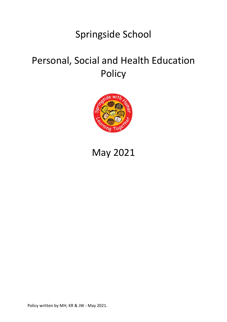## Springside School

# Personal, Social and Health Education Policy



## May 2021

Policy written by MH, KR & JW - May 2021.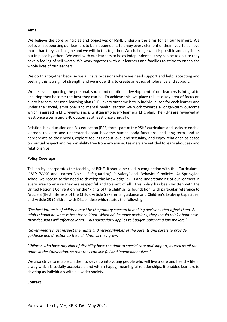#### **Aims**

We believe the core principles and objectives of PSHE underpin the aims for all our learners. We believe in supporting our learners to be independent, to enjoy every element of their lives, to achieve more than they can imagine and we will do this together. We challenge what is possible and any limits put in place by others. We work with our learners to be as independent as they can be to ensure they have a feeling of self-worth. We work together with our learners and families to strive to enrich the whole lives of our learners.

We do this together because we all have occasions where we need support and help, accepting and seeking this is a sign of strength and we model this to create an ethos of tolerance and support.

We believe supporting the personal, social and emotional development of our learners is integral to ensuring they become the best they can be. To achieve this, we place this as a key area of focus on every learners' personal learning plan (PLP), every outcome is truly individualised for each learner and under the 'social, emotional and mental health' section we work towards a longer-term outcome which is agreed in EHC reviews and is written into every learners' EHC plan. The PLP's are reviewed at least once a term and EHC outcomes at least once annually.

Relationship education and Sex education (RSE) forms part of the PSHE curriculum and seeks to enable learners to learn and understand about how the human body functions; and long term, and as appropriate to their needs, explore feelings about love, and sexuality, and enjoy relationships based on mutual respect and responsibility free from any abuse. Learners are entitled to learn about sex and relationships.

#### **Policy Coverage**

This policy incorporates the teaching of PSHE, it should be read in conjunction with the 'Curriculum'; 'RSE'; 'SMSC and Learner Voice' 'Safeguarding', 'e-Safety' and 'Behaviour' policies. At Springside school we recognise the need to develop the knowledge, skills and understanding of our learners in every area to ensure they are respectful and tolerant of all. This policy has been written with the United Nation's Convention for the 'Rights of the Child' as its foundation, with particular reference to Article 3 (Best Interests of the Child), Article 5 (Parental guidance and Children's Evolving Capacities) and Article 23 (Children with Disabilities) which states the following:

*'The best interests of children must be the primary concern in making decisions that affect them. All adults should do what is best for children. When adults make decisions, they should think about how their decisions will affect children. This particularly applies to budget, policy and law makers.'*

*'Governments must respect the rights and responsibilities of the parents and carers to provide guidance and direction to their children as they grow.'*

*'Children who have any kind of disability have the right to special care and support, as well as all the rights in the Convention, so that they can live full and independent lives.'*

We also strive to enable children to develop into young people who will live a safe and healthy life in a way which is socially acceptable and within happy, meaningful relationships. It enables learners to develop as individuals within a wider society.

#### **Context**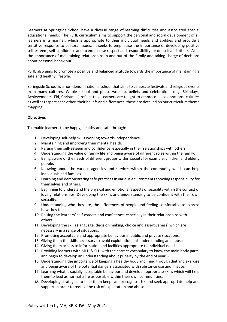Learners at Springside School have a diverse range of learning difficulties and associated special educational needs. The PSHE curriculum aims to support the personal and social development of all learners in a manner, which is appropriate to their individual needs and abilities and provide a sensitive response to pastoral issues. It seeks to emphasise the importance of developing positive self-esteem, self-confidence and to emphasise respect and responsibility for oneself and others. Also, the importance of maintaining relationships in and out of the family and taking charge of decisions about personal behaviour.

PSHE also aims to promote a positive and balanced attitude towards the importance of maintaining a safe and healthy lifestyle.

Springside School is a non-denominational school that aims to celebrate festivals and religious events from many cultures. Whole school and phase worship, beliefs and celebrations (e.g. Birthdays, Achievements, Eid, Christmas) reflect this. Learners are taught to embrace all celebrations, cultures as well as respect each other, their beliefs and differences; these are detailed on our curriculum theme mapping.

### **Objectives**

To enable learners to be happy, healthy and safe through:

- 1. Developing self-help skills working towards independence.
- 2. Maintaining and improving their mental health.
- 3. Raising their self-esteem and confidence, especially in their relationships with others
- 4. Understanding the value of family life and being aware of different roles within the family.
- 5. Being aware of the needs of different groups within society for example, children and elderly people.
- 6. Knowing about the various agencies and services within the community which can help individuals and families.
- 7. Learning and demonstrating safe practices in various environments showing responsibility for themselves and others.
- 8. Beginning to understand the physical and emotional aspects of sexuality within the context of loving relationships. Developing the skills and understanding to be confident with their own sexuality.
- 9. Understanding who they are, the differences of people and feeling comfortable to express how they feel.
- 10. Raising the learners' self-esteem and confidence, especially in their relationships with others.
- 11. Developing the skills (language, decision making, choice and assertiveness) which are necessary in a range of situations.
- 12. Promoting acceptable and appropriate behaviour in public and private situations.
- 13. Giving them the skills necessary to avoid exploitation, misunderstanding and abuse
- 14. Giving them access to information and facilities appropriate to individual needs.
- 15. Providing learners with MLD & SLD with the correct vocabulary to know the main body parts and begin to develop an understanding about puberty by the end of year 6.
- 16. Understanding the importance of keeping a healthy body and mind through diet and exercise and being aware of the potential dangers associated with substance use and misuse.
- 17. Learning what is socially acceptable behaviour and develop appropriate skills which will help them to lead as normal a life as possible within their own communities.
- 18. Developing strategies to help them keep safe, recognise risk and seek appropriate help and support in order to reduce the risk of exploitation and abuse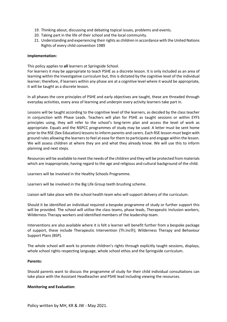- 19. Thinking about, discussing and debating topical issues, problems and events.
- 20. Taking part in the life of their school and the local community.
- 21. Understanding and experiencing their rights as children in accordance with the United Nations Rights of every child convention 1989

#### **Implementation:**

This policy applies to **all** learners at Springside School.

For learners it may be appropriate to teach PSHE as a discrete lesson. It is only included as an area of learning within the Investigative curriculum but, this is dictated by the cognitive level of the individual learner; therefore, if learners within any phase are at a cognitive level where it would be appropriate, it will be taught as a discrete lesson.

In all phases the core principles of PSHE and early objectives are taught, these are threaded through everyday activities, every area of learning and underpin every activity learners take part in.

Lessons will be taught according to the cognitive level of the learners, as decided by the class teacher in conjunction with Phase Leads. Teachers will plan for PSHE as taught sessions or within EYFS principles using, they will refer to the school's long-term plan and access the level of work as appropriate. Equals and the NSPCC programmes of study may be used. A letter must be sent home prior to the RSE (Sex Education) lessons to inform parents and carers. Each RSE lesson must begin with ground rules allowing the learners to feel at ease for them to participate and engage within the lesson. We will assess children at where they are and what they already know. We will use this to inform planning and next steps.

Resources will be available to meet the needs of the children and they will be protected from materials which are inappropriate, having regard to the age and religious and cultural background of the child.

Learners will be involved in the Healthy Schools Programme.

Learners will be involved in the Big Life Group teeth brushing scheme.

Liaison will take place with the school health team who will support delivery of the curriculum.

Should it be identified an individual required a bespoke programme of study or further support this will be provided. The school will utilise the class teams, phase leads, Therapeutic Inclusion workers, Wilderness Therapy workers and identified members of the leadership team.

Interventions are also available where it is felt a learner will benefit further from a bespoke package of support, these include Therapeutic Intervention (Th.Inc®); Wilderness Therapy and Behaviour Support Plans (BSP).

The whole school will work to promote children's rights through explicitly taught sessions, displays, whole school rights respecting language, whole school ethos and the Springside curriculum.

#### **Parents:**

Should parents want to discuss the programme of study for their child individual consultations can take place with the Assistant Headteacher and PSHE lead including viewing the resources.

#### **Monitoring and Evaluation:**